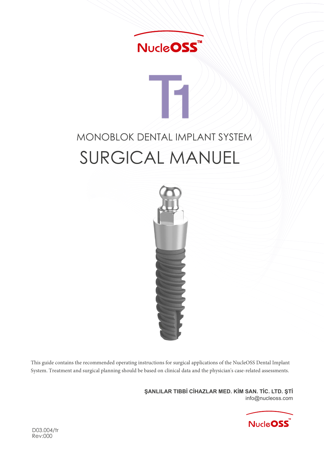

# MONOBLOK DENTAL IMPLANT SYSTEM SURGICAL MANUEL



This guide contains the recommended operating instructions for surgical applications of the NucleOSS Dental Implant System. Treatment and surgical planning should be based on clinical data and the physician's case-related assessments.

> **ŞANLILAR TIBBİ CİHAZLAR MED. KİM SAN. TİC. LTD. ŞTİ** nfo@nucleoss.com

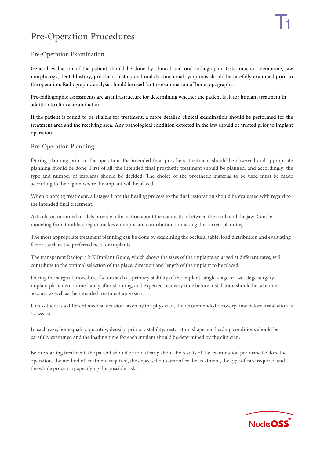# Pre-Operation Procedures

#### Pre-Operation Examination

General evaluation of the patient should be done by clinical and oral radiographic tests, mucosa membrane, jaw morphology, dental history, prosthetic history and oral dysfunctional symptoms should be carefully examined prior to the operation. Radiographic analysis should be used for the examination of bone topography.

Pre-radiographic assessments are an infrastructure for determining whether the patient is fit for implant treatment in addition to clinical examination.

If the patient is found to be eligible for treatment, a more detailed clinical examination should be performed for the treatment area and the receiving area. Any pathological condition detected in the jaw should be treated prior to implant operation.

#### Pre-Operation Planning

During planning prior to the operation, the intended final prosthetic treatment should be observed and appropriate planning should be done. First of all, the intended final prosthetic treatment should be planned, and accordingly, the type and number of implants should be decided. The choice of the prosthetic material to be used must be made according to the region where the implant will be placed.

When planning treatment, all stages from the healing process to the final restoration should be evaluated with regard to the intended final treatment.

Articulator-mounted models provide information about the connection between the tooth and the jaw. Candle modeling from toothless region makes an important contribution in making the correct planning.

The most appropriate treatment planning can be done by examining the occlusal table, load distribution and evaluating factors such as the preferred nest for implants.

The transparent Radiogra k K Implant Guide, which shows the sizes of the implants enlarged at different rates, will contribute to the optimal selection of the place, direction and length of the implant to be placed.

During the surgical procedure, factors such as primary stability of the implant, single-stage or two-stage surgery, implant placement immediately after shooting, and expected recovery time before installation should be taken into account as well as the intended treatment approach.

Unless there is a different medical decision taken by the physician, the recommended recovery time before installation is 12 weeks.

In each case, bone quality, quantity, density, primary stability, restoration shape and loading conditions should be carefully examined and the loading time for each implant should be determined by the clinician.

Before starting treatment, the patient should be told clearly about the results of the examination performed before the operation, the method of treatment required, the expected outcome after the treatment, the type of care required and the whole process by specifying the possible risks.

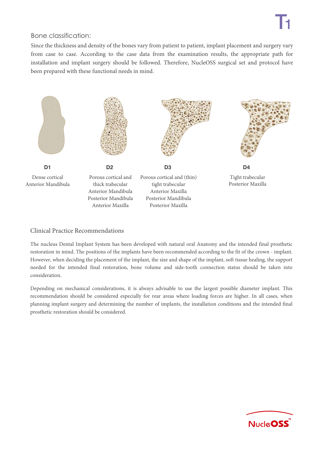#### Bone classification:

Since the thickness and density of the bones vary from patient to patient, implant placement and surgery vary from case to case. According to the case data from the examination results, the appropriate path for installation and implant surgery should be followed. Therefore, NucleOSS surgical set and protocol have been prepared with these functional needs in mind.



#### Clinical Practice Recommendations

The nucleus Dental Implant System has been developed with natural oral Anatomy and the intended final prosthetic restoration in mind. The positions of the implants have been recommended according to the fit of the crown - implant. However, when deciding the placement of the implant, the size and shape of the implant, soft tissue healing, the support needed for the intended final restoration, bone volume and side-tooth connection status should be taken into consideration.

Depending on mechanical considerations, it is always advisable to use the largest possible diameter implant. This recommendation should be considered especially for rear areas where loading forces are higher. In all cases, when planning implant surgery and determining the number of implants, the installation conditions and the intended final prosthetic restoration should be considered.

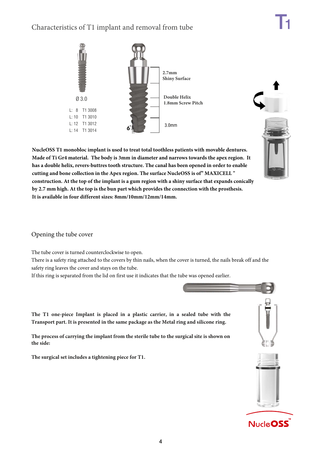## Characteristics of T1 implant and removal from tube





**NucleOSS T1 monobloc implant is used to treat total toothless patients with movable dentures. Made of Ti Gr4 material. The body is 3mm in diameter and narrows towards the apex region. It has a double helix, revers-buttres tooth structure. The canal has been opened in order to enable cutting and bone collection in the Apex region. The surface NucleOSS is of" MAXICELL " construction. At the top of the implant is a gum region with a shiny surface that expands conically by 2.7 mm high. At the top is the bun part which provides the connection with the prosthesis. It is available in four different sizes: 8mm/10mm/12mm/14mm.**

Opening the tube cover

The tube cover is turned counterclockwise to open.

There is a safety ring attached to the covers by thin nails, when the cover is turned, the nails break off and the safety ring leaves the cover and stays on the tube.

If this ring is separated from the lid on first use it indicates that the tube was opened earlier.

**The T1 one-piece Implant is placed in a plastic carrier, in a sealed tube with the Transport part. It is presented in the same package as the Metal ring and silicone ring.**

**The process of carrying the implant from the sterile tube to the surgical site is shown on the side:**

**The surgical set includes a tightening piece for T1.**

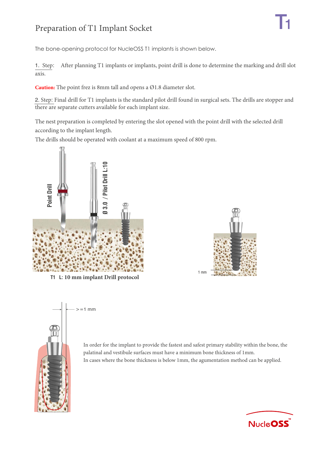# Preparation of T1 Implant Socket

The bone-opening protocol for NucleOSS T1 implants is shown below.

1. Step: After planning T1 implants or implants, point drill is done to determine the marking and drill slot axis.

**Caution:** The point frez is 8mm tall and opens a Ø1.8 diameter slot.

2. Step: Final drill for T1 implants is the standard pilot drill found in surgical sets. The drills are stopper and there are separate cutters available for each implant size.

The nest preparation is completed by entering the slot opened with the point drill with the selected drill according to the implant length.

The drills should be operated with coolant at a maximum speed of 800 rpm.



 $=1$  mm





In order for the implant to provide the fastest and safest primary stability within the bone, the palatinal and vestibule surfaces must have a minimum bone thickness of 1mm. In cases where the bone thickness is below 1mm, the agumentation method can be applied.

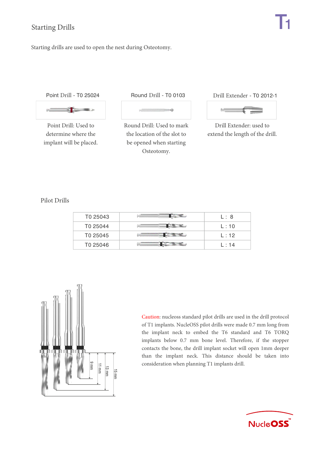Starting drills are used to open the nest during Osteotomy.

Point Drill - T0 25024



Point Drill: Used to determine where the implant will be placed.

#### Round Drill - T0 0103 Drill Extender - T0 2012-1

-á

Round Drill: Used to mark the location of the slot to be opened when starting Osteotomy.

 $\mu_{\rm c}$ 

Drill Extender: used to extend the length of the drill.

Pilot Drills

| T0 25043             | L: 8   |
|----------------------|--------|
| T0 25044             | L:10   |
| T <sub>0</sub> 25045 | L:12   |
| T0 25046             | L : 14 |



Caution: nucleoss standard pilot drills are used in the drill protocol of T1 implants. NucleOSS pilot drills were made 0.7 mm long from the implant neck to embed the T6 standard and T6 TORQ implants below 0.7 mm bone level. Therefore, if the stopper contacts the bone, the drill implant socket will open 1mm deeper than the implant neck. This distance should be taken into consideration when planning T1 implants drill.

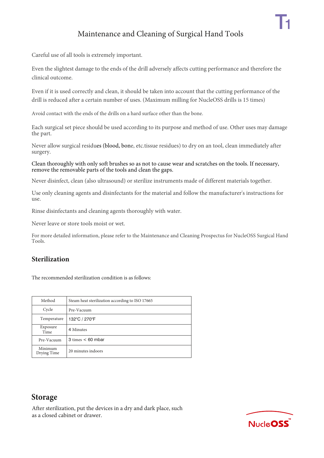## Maintenance and Cleaning of Surgical Hand Tools

Careful use of all tools is extremely important.

Even the slightest damage to the ends of the drill adversely affects cutting performance and therefore the clinical outcome.

Even if it is used correctly and clean, it should be taken into account that the cutting performance of the drill is reduced after a certain number of uses. (Maximum milling for NucleOSS drills is 15 times)

Avoid contact with the ends of the drills on a hard surface other than the bone.

Each surgical set piece should be used according to its purpose and method of use. Other uses may damage the part.

 Never allow surgical residues (blood, bone, etc.tissue residues) to dry on an tool, clean immediately after surgery.

 Clean thoroughly with only soft brushes so as not to cause wear and scratches on the tools. If necessary, remove the removable parts of the tools and clean the gaps.

Never disinfect, clean (also ultrasound) or sterilize instruments made of different materials together.

 Use only cleaning agents and disinfectants for the material and follow the manufacturer's instructions for use.

Rinse disinfectants and cleaning agents thoroughly with water.

Never leave or store tools moist or wet.

For more detailed information, please refer to the Maintenance and Cleaning Prospectus for NucleOSS Surgical Hand Tools.

#### **Sterilization**

The recommended sterilization condition is as follows:

| Method                 | Steam heat sterilization according to ISO 17665 |
|------------------------|-------------------------------------------------|
| Cycle                  | Pre-Vacuum                                      |
| Temperature            | 132°C / 270°F                                   |
| Exposure<br>Time       | 4 Minutes                                       |
| Pre-Vacuum             | $3 \times 60$ mbar                              |
| Minimum<br>Drying Time | 20 minutes indoors                              |

### **Storage**

After sterilization, put the devices in a dry and dark place, such as a closed cabinet or drawer.

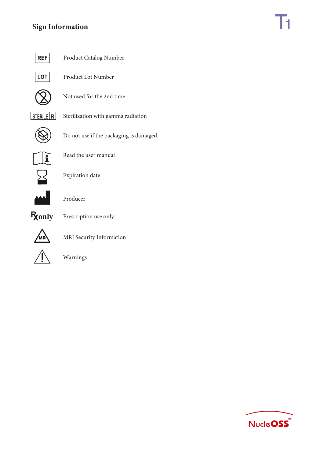## **Sign Information**



Product Catalog Number



Product Lot Number



Not used for the 2nd time



Sterilization with gamma radiation



Do not use if the packaging is damaged



Read the user manual



Expiration date



Producer



Prescription use only



MRI Security Information



Warnings